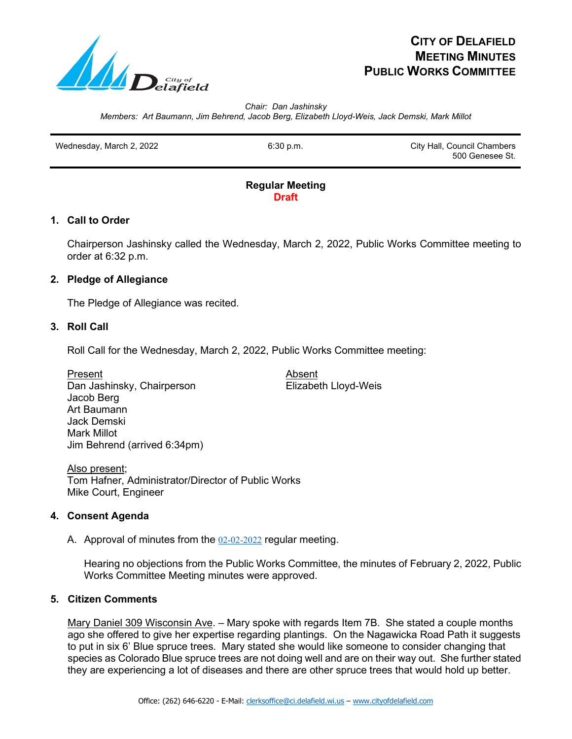

# **CITY OF DELAFIELD MEETING MINUTES PUBLIC WORKS COMMITTEE**

*Chair: Dan Jashinsky Members: Art Baumann, Jim Behrend, Jacob Berg, Elizabeth Lloyd-Weis, Jack Demski, Mark Millot*

Wednesday, March 2, 2022 **6:30 p.m.** 6:30 p.m. City Hall, Council Chambers 500 Genesee St.

#### **Regular Meeting Draft**

## **1. Call to Order**

Chairperson Jashinsky called the Wednesday, March 2, 2022, Public Works Committee meeting to order at 6:32 p.m.

## **2. Pledge of Allegiance**

The Pledge of Allegiance was recited.

### **3. Roll Call**

Roll Call for the Wednesday, March 2, 2022, Public Works Committee meeting:

<u>Present</u><br>Dan Jashinsky, Chairperson Elizabeth Lloyd-Weis Dan Jashinsky, Chairperson Jacob Berg Art Baumann Jack Demski Mark Millot Jim Behrend (arrived 6:34pm)

Also present; Tom Hafner, Administrator/Director of Public Works Mike Court, Engineer

## **4. Consent Agenda**

A. Approval of minutes from the 02-02-2022 regular meeting.

Hearing no objections from the Public Works Committee, the minutes of February 2, 2022, Public Works Committee Meeting minutes were approved.

## **5. Citizen Comments**

Mary Daniel 309 Wisconsin Ave. – Mary spoke with regards Item 7B. She stated a couple months ago she offered to give her expertise regarding plantings. On the Nagawicka Road Path it suggests to put in six 6' Blue spruce trees. Mary stated she would like someone to consider changing that species as Colorado Blue spruce trees are not doing well and are on their way out. She further stated they are experiencing a lot of diseases and there are other spruce trees that would hold up better.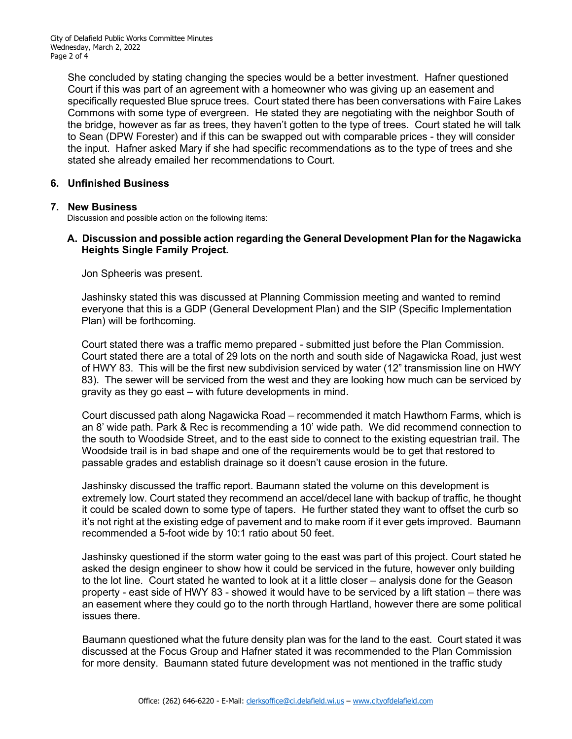She concluded by stating changing the species would be a better investment. Hafner questioned Court if this was part of an agreement with a homeowner who was giving up an easement and specifically requested Blue spruce trees. Court stated there has been conversations with Faire Lakes Commons with some type of evergreen. He stated they are negotiating with the neighbor South of the bridge, however as far as trees, they haven't gotten to the type of trees. Court stated he will talk to Sean (DPW Forester) and if this can be swapped out with comparable prices - they will consider the input. Hafner asked Mary if she had specific recommendations as to the type of trees and she stated she already emailed her recommendations to Court.

### **6. Unfinished Business**

### **7. New Business**

Discussion and possible action on the following items:

## **A. Discussion and possible action regarding the General Development Plan for the Nagawicka Heights Single Family Project.**

Jon Spheeris was present.

Jashinsky stated this was discussed at Planning Commission meeting and wanted to remind everyone that this is a GDP (General Development Plan) and the SIP (Specific Implementation Plan) will be forthcoming.

 Court stated there was a traffic memo prepared - submitted just before the Plan Commission. Court stated there are a total of 29 lots on the north and south side of Nagawicka Road, just west of HWY 83. This will be the first new subdivision serviced by water (12" transmission line on HWY 83). The sewer will be serviced from the west and they are looking how much can be serviced by gravity as they go east – with future developments in mind.

 Court discussed path along Nagawicka Road – recommended it match Hawthorn Farms, which is an 8' wide path. Park & Rec is recommending a 10' wide path. We did recommend connection to the south to Woodside Street, and to the east side to connect to the existing equestrian trail. The Woodside trail is in bad shape and one of the requirements would be to get that restored to passable grades and establish drainage so it doesn't cause erosion in the future.

 Jashinsky discussed the traffic report. Baumann stated the volume on this development is extremely low. Court stated they recommend an accel/decel lane with backup of traffic, he thought it could be scaled down to some type of tapers. He further stated they want to offset the curb so it's not right at the existing edge of pavement and to make room if it ever gets improved. Baumann recommended a 5-foot wide by 10:1 ratio about 50 feet.

 Jashinsky questioned if the storm water going to the east was part of this project. Court stated he asked the design engineer to show how it could be serviced in the future, however only building to the lot line. Court stated he wanted to look at it a little closer – analysis done for the Geason property - east side of HWY 83 - showed it would have to be serviced by a lift station – there was an easement where they could go to the north through Hartland, however there are some political issues there.

 Baumann questioned what the future density plan was for the land to the east. Court stated it was discussed at the Focus Group and Hafner stated it was recommended to the Plan Commission for more density. Baumann stated future development was not mentioned in the traffic study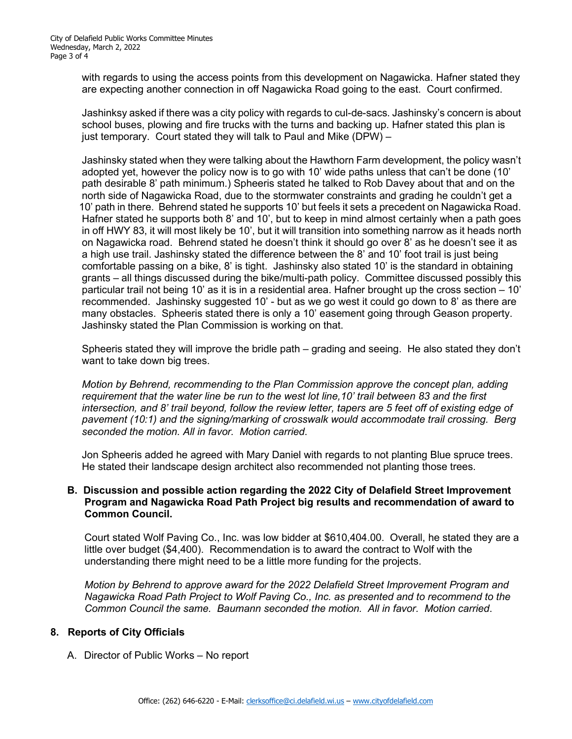with regards to using the access points from this development on Nagawicka. Hafner stated they are expecting another connection in off Nagawicka Road going to the east. Court confirmed.

 Jashinksy asked if there was a city policy with regards to cul-de-sacs. Jashinsky's concern is about school buses, plowing and fire trucks with the turns and backing up. Hafner stated this plan is just temporary. Court stated they will talk to Paul and Mike (DPW) –

 Jashinsky stated when they were talking about the Hawthorn Farm development, the policy wasn't adopted yet, however the policy now is to go with 10' wide paths unless that can't be done (10' path desirable 8' path minimum.) Spheeris stated he talked to Rob Davey about that and on the north side of Nagawicka Road, due to the stormwater constraints and grading he couldn't get a 10' path in there. Behrend stated he supports 10' but feels it sets a precedent on Nagawicka Road. Hafner stated he supports both 8' and 10', but to keep in mind almost certainly when a path goes in off HWY 83, it will most likely be 10', but it will transition into something narrow as it heads north on Nagawicka road. Behrend stated he doesn't think it should go over 8' as he doesn't see it as a high use trail. Jashinsky stated the difference between the 8' and 10' foot trail is just being comfortable passing on a bike, 8' is tight. Jashinsky also stated 10' is the standard in obtaining grants – all things discussed during the bike/multi-path policy. Committee discussed possibly this particular trail not being 10' as it is in a residential area. Hafner brought up the cross section – 10' recommended. Jashinsky suggested 10' - but as we go west it could go down to 8' as there are many obstacles. Spheeris stated there is only a 10' easement going through Geason property. Jashinsky stated the Plan Commission is working on that.

 Spheeris stated they will improve the bridle path – grading and seeing. He also stated they don't want to take down big trees.

 *Motion by Behrend, recommending to the Plan Commission approve the concept plan, adding requirement that the water line be run to the west lot line,10' trail between 83 and the first intersection, and 8' trail beyond, follow the review letter, tapers are 5 feet off of existing edge of pavement (10:1) and the signing/marking of crosswalk would accommodate trail crossing. Berg seconded the motion. All in favor. Motion carried*.

 Jon Spheeris added he agreed with Mary Daniel with regards to not planting Blue spruce trees. He stated their landscape design architect also recommended not planting those trees.

#### **B. Discussion and possible action regarding the 2022 City of Delafield Street Improvement Program and Nagawicka Road Path Project big results and recommendation of award to Common Council.**

Court stated Wolf Paving Co., Inc. was low bidder at \$610,404.00. Overall, he stated they are a little over budget (\$4,400). Recommendation is to award the contract to Wolf with the understanding there might need to be a little more funding for the projects.

 *Motion by Behrend to approve award for the 2022 Delafield Street Improvement Program and Nagawicka Road Path Project to Wolf Paving Co., Inc. as presented and to recommend to the Common Council the same. Baumann seconded the motion. All in favor. Motion carried*.

#### **8. Reports of City Officials**

A. Director of Public Works – No report